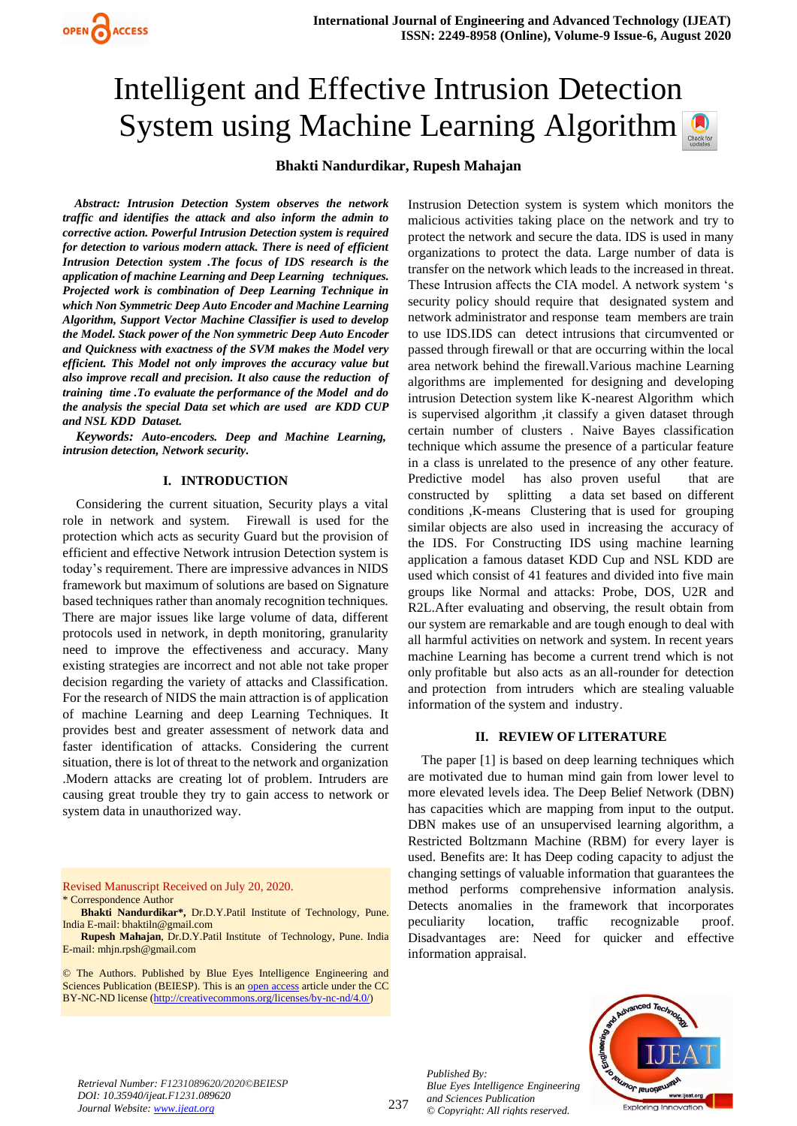# Intelligent and Effective Intrusion Detection System using Machine Learning Algorithm

# **Bhakti Nandurdikar, Rupesh Mahajan**

*Abstract: Intrusion Detection System observes the network traffic and identifies the attack and also inform the admin to corrective action. Powerful Intrusion Detection system is required for detection to various modern attack. There is need of efficient Intrusion Detection system .The focus of IDS research is the application of machine Learning and Deep Learning techniques. Projected work is combination of Deep Learning Technique in which Non Symmetric Deep Auto Encoder and Machine Learning Algorithm, Support Vector Machine Classifier is used to develop the Model. Stack power of the Non symmetric Deep Auto Encoder and Quickness with exactness of the SVM makes the Model very efficient. This Model not only improves the accuracy value but also improve recall and precision. It also cause the reduction of training time .To evaluate the performance of the Model and do the analysis the special Data set which are used are KDD CUP and NSL KDD Dataset.*

*Keywords: Auto-encoders. Deep and Machine Learning, intrusion detection, Network security.*

### **I. INTRODUCTION**

Considering the current situation, Security plays a vital role in network and system. Firewall is used for the protection which acts as security Guard but the provision of efficient and effective Network intrusion Detection system is today's requirement. There are impressive advances in NIDS framework but maximum of solutions are based on Signature based techniques rather than anomaly recognition techniques. There are major issues like large volume of data, different protocols used in network, in depth monitoring, granularity need to improve the effectiveness and accuracy. Many existing strategies are incorrect and not able not take proper decision regarding the variety of attacks and Classification. For the research of NIDS the main attraction is of application of machine Learning and deep Learning Techniques. It provides best and greater assessment of network data and faster identification of attacks. Considering the current situation, there is lot of threat to the network and organization .Modern attacks are creating lot of problem. Intruders are causing great trouble they try to gain access to network or system data in unauthorized way.

Revised Manuscript Received on July 20, 2020.

\* Correspondence Author

**Bhakti Nandurdikar\*,** Dr.D.Y.Patil Institute of Technology, Pune. India E-mail[: bhaktiln@gmail.com](mailto:bhaktiln@gmail.com)

**Rupesh Mahajan**, Dr.D.Y.Patil Institute of Technology, Pune. India E-mail: [mhjn.rpsh@gmail.com](mailto:mhjn.rpsh@gmail.com)

© The Authors. Published by Blue Eyes Intelligence Engineering and Sciences Publication (BEIESP). This is an [open access](https://www.openaccess.nl/en/open-publications) article under the CC BY-NC-ND license [\(http://creativecommons.org/licenses/by-nc-nd/4.0/\)](http://creativecommons.org/licenses/by-nc-nd/4.0/)

Instrusion Detection system is system which monitors the malicious activities taking place on the network and try to protect the network and secure the data. IDS is used in many organizations to protect the data. Large number of data is transfer on the network which leads to the increased in threat. These Intrusion affects the CIA model. A network system 's security policy should require that designated system and network administrator and response team members are train to use IDS.IDS can detect intrusions that circumvented or passed through firewall or that are occurring within the local area network behind the firewall.Various machine Learning algorithms are implemented for designing and developing intrusion Detection system like K-nearest Algorithm which is supervised algorithm ,it classify a given dataset through certain number of clusters . Naive Bayes classification technique which assume the presence of a particular feature in a class is unrelated to the presence of any other feature. Predictive model has also proven useful that are constructed by splitting a data set based on different conditions ,K-means Clustering that is used for grouping similar objects are also used in increasing the accuracy of the IDS. For Constructing IDS using machine learning application a famous dataset KDD Cup and NSL KDD are used which consist of 41 features and divided into five main groups like Normal and attacks: Probe, DOS, U2R and R2L.After evaluating and observing, the result obtain from our system are remarkable and are tough enough to deal with all harmful activities on network and system. In recent years machine Learning has become a current trend which is not only profitable but also acts as an all-rounder for detection and protection from intruders which are stealing valuable information of the system and industry.

#### **II. REVIEW OF LITERATURE**

The paper [1] is based on deep learning techniques which are motivated due to human mind gain from lower level to more elevated levels idea. The Deep Belief Network (DBN) has capacities which are mapping from input to the output. DBN makes use of an unsupervised learning algorithm, a Restricted Boltzmann Machine (RBM) for every layer is used. Benefits are: It has Deep coding capacity to adjust the changing settings of valuable information that guarantees the method performs comprehensive information analysis. Detects anomalies in the framework that incorporates peculiarity location, traffic recognizable proof. Disadvantages are: Need for quicker and effective information appraisal.

*Retrieval Number: F1231089620/2020©BEIESP DOI: 10.35940/ijeat.F1231.089620 Journal Website: [www.ijeat.org](http://www.ijeat.org/)*

*Published By: Blue Eyes Intelligence Engineering and Sciences Publication © Copyright: All rights reserved.*

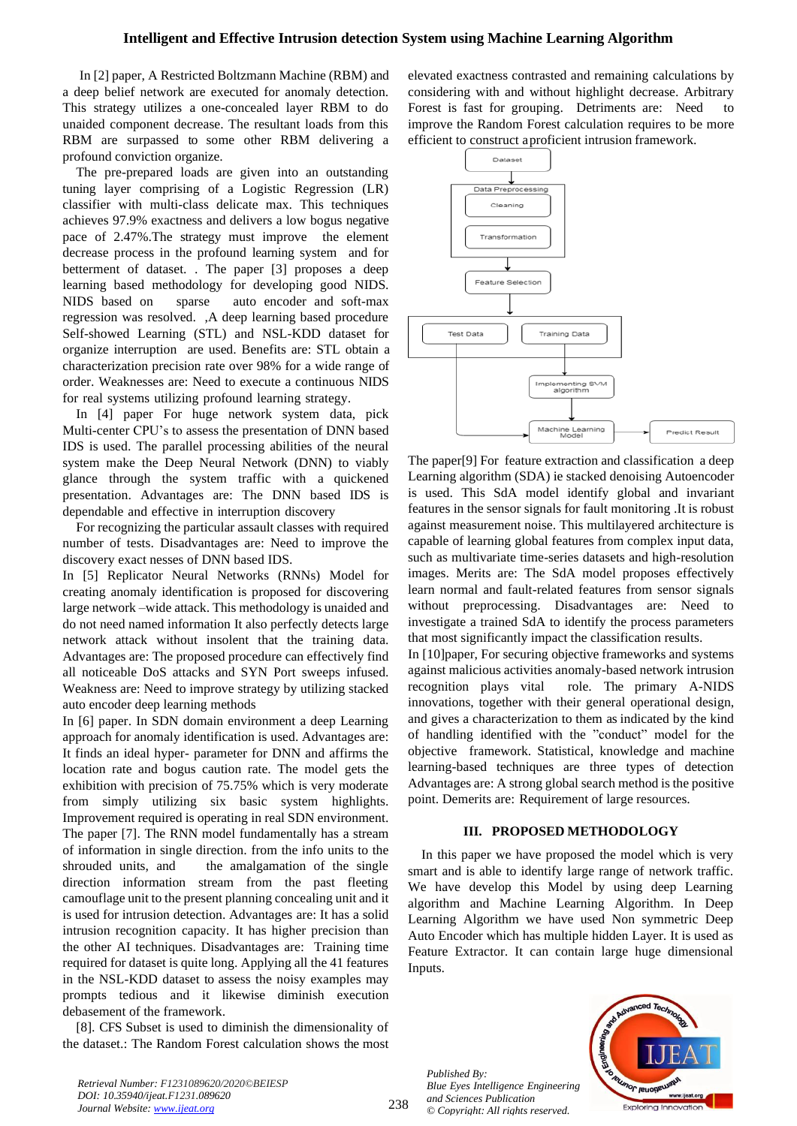In [2] paper, A Restricted Boltzmann Machine (RBM) and a deep belief network are executed for anomaly detection. This strategy utilizes a one-concealed layer RBM to do unaided component decrease. The resultant loads from this RBM are surpassed to some other RBM delivering a profound conviction organize.

The pre-prepared loads are given into an outstanding tuning layer comprising of a Logistic Regression (LR) classifier with multi-class delicate max. This techniques achieves 97.9% exactness and delivers a low bogus negative pace of 2.47%.The strategy must improve the element decrease process in the profound learning system and for betterment of dataset. . The paper [3] proposes a deep learning based methodology for developing good NIDS. NIDS based on sparse auto encoder and soft-max regression was resolved. ,A deep learning based procedure Self-showed Learning (STL) and NSL-KDD dataset for organize interruption are used. Benefits are: STL obtain a characterization precision rate over 98% for a wide range of order. Weaknesses are: Need to execute a continuous NIDS for real systems utilizing profound learning strategy.

In [4] paper For huge network system data, pick Multi-center CPU's to assess the presentation of DNN based IDS is used. The parallel processing abilities of the neural system make the Deep Neural Network (DNN) to viably glance through the system traffic with a quickened presentation. Advantages are: The DNN based IDS is dependable and effective in interruption discovery

For recognizing the particular assault classes with required number of tests. Disadvantages are: Need to improve the discovery exact nesses of DNN based IDS.

In [5] Replicator Neural Networks (RNNs) Model for creating anomaly identification is proposed for discovering large network –wide attack. This methodology is unaided and do not need named information It also perfectly detects large network attack without insolent that the training data. Advantages are: The proposed procedure can effectively find all noticeable DoS attacks and SYN Port sweeps infused. Weakness are: Need to improve strategy by utilizing stacked auto encoder deep learning methods

In [6] paper. In SDN domain environment a deep Learning approach for anomaly identification is used. Advantages are: It finds an ideal hyper- parameter for DNN and affirms the location rate and bogus caution rate. The model gets the exhibition with precision of 75.75% which is very moderate from simply utilizing six basic system highlights. Improvement required is operating in real SDN environment. The paper [7]. The RNN model fundamentally has a stream of information in single direction. from the info units to the shrouded units, and the amalgamation of the single direction information stream from the past fleeting camouflage unit to the present planning concealing unit and it is used for intrusion detection. Advantages are: It has a solid intrusion recognition capacity. It has higher precision than the other AI techniques. Disadvantages are: Training time required for dataset is quite long. Applying all the 41 features in the NSL-KDD dataset to assess the noisy examples may prompts tedious and it likewise diminish execution debasement of the framework.

[8]. CFS Subset is used to diminish the dimensionality of the dataset.: The Random Forest calculation shows the most elevated exactness contrasted and remaining calculations by considering with and without highlight decrease. Arbitrary Forest is fast for grouping. Detriments are: Need to improve the Random Forest calculation requires to be more efficient to construct a proficient intrusion framework.



The paper[9] For feature extraction and classification a deep Learning algorithm (SDA) ie stacked denoising Autoencoder is used. This SdA model identify global and invariant features in the sensor signals for fault monitoring .It is robust against measurement noise. This multilayered architecture is capable of learning global features from complex input data, such as multivariate time-series datasets and high-resolution images. Merits are: The SdA model proposes effectively learn normal and fault-related features from sensor signals without preprocessing. Disadvantages are: Need to investigate a trained SdA to identify the process parameters that most significantly impact the classification results.

In [10]paper, For securing objective frameworks and systems against malicious activities anomaly-based network intrusion recognition plays vital role. The primary A-NIDS innovations, together with their general operational design, and gives a characterization to them as indicated by the kind of handling identified with the "conduct" model for the objective framework. Statistical, knowledge and machine learning-based techniques are three types of detection Advantages are: A strong global search method is the positive point. Demerits are: Requirement of large resources.

## **III. PROPOSED METHODOLOGY**

In this paper we have proposed the model which is very smart and is able to identify large range of network traffic. We have develop this Model by using deep Learning algorithm and Machine Learning Algorithm. In Deep Learning Algorithm we have used Non symmetric Deep Auto Encoder which has multiple hidden Layer. It is used as Feature Extractor. It can contain large huge dimensional Inputs.

*Published By: Blue Eyes Intelligence Engineering and Sciences Publication © Copyright: All rights reserved.*



*Retrieval Number: F1231089620/2020©BEIESP DOI: 10.35940/ijeat.F1231.089620 Journal Website: [www.ijeat.org](http://www.ijeat.org/)*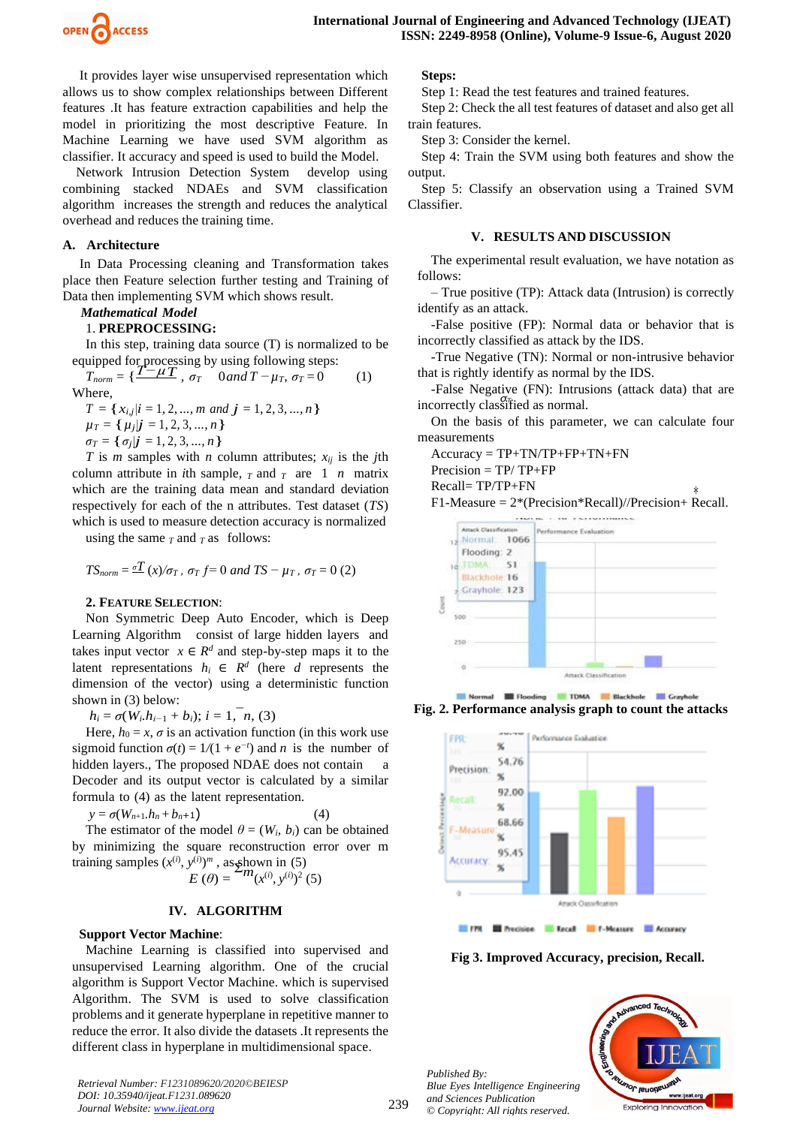

It provides layer wise unsupervised representation which allows us to show complex relationships between Different features .It has feature extraction capabilities and help the model in prioritizing the most descriptive Feature. In Machine Learning we have used SVM algorithm as classifier. It accuracy and speed is used to build the Model.

Network Intrusion Detection System develop using combining stacked NDAEs and SVM classification algorithm increases the strength and reduces the analytical overhead and reduces the training time.

#### **A. Architecture**

In Data Processing cleaning and Transformation takes place then Feature selection further testing and Training of Data then implementing SVM which shows result.

## *Mathematical Model*

## 1. **PREPROCESSING:**

In this step, training data source (T) is normalized to be equipped for processing by using following steps:

 $T_{norm} = \left\{ \frac{T - \mu T}{T}, \sigma_{T} \right\}$  0*and*  $T - \mu_{T}, \sigma_{T} = 0$  (1) Where,

$$
T = \{x_{i,j} | i = 1, 2, ..., m \text{ and } j = 1, 2, 3, ..., n\}
$$
  
\n
$$
\mu_T = \{\mu_j | j = 1, 2, 3, ..., n\}
$$
  
\n
$$
\sigma_T = \{\sigma_j | j = 1, 2, 3, ..., n\}
$$

*T* is *m* samples with *n* column attributes;  $x_{ij}$  is the *j*th column attribute in *i*th sample,  $T$  and  $T$  are 1 *n* matrix which are the training data mean and standard deviation respectively for each of the n attributes. Test dataset (*TS*) which is used to measure detection accuracy is normalized

using the same  $T$  and  $T$  as follows:

$$
TS_{norm} = \frac{\sigma T}{T} (x) / \sigma_T
$$
,  $\sigma_T f = 0$  and  $TS - \mu_T$ ,  $\sigma_T = 0$  (2)

#### **2. FEATURE SELECTION**:

Non Symmetric Deep Auto Encoder, which is Deep Learning Algorithm consist of large hidden layers and takes input vector  $x \in \mathbb{R}^d$  and step-by-step maps it to the latent representations  $h_i \in \mathbb{R}^d$  (here *d* represents the dimension of the vector) using a deterministic function shown in (3) below:

 $h_i = \sigma(W_i, h_{i-1} + b_i); i = 1, n$ , (3)

Here,  $h_0 = x$ ,  $\sigma$  is an activation function (in this work use sigmoid function  $\sigma(t) = 1/(1 + e^{-t})$  and *n* is the number of hidden layers., The proposed NDAE does not contain Decoder and its output vector is calculated by a similar formula to (4) as the latent representation.

$$
y = \sigma(W_{n+1}.h_n + b_{n+1}) \tag{4}
$$

The estimator of the model  $\theta = (W_i, b_i)$  can be obtained by minimizing the square reconstruction error over m training samples  $(x^{(i)}, y^{(i)})^m$ , as shown in (5)<br> $E(\theta) = {m_{(x^{(i)}, y^{(i)})^2}}$ 

$$
E(\theta) = \frac{2m(x^{(i)}, y^{(i)})^2}{5}
$$

#### **IV. ALGORITHM**

#### **Support Vector Machine**:

Machine Learning is classified into supervised and unsupervised Learning algorithm. One of the crucial algorithm is Support Vector Machine. which is supervised Algorithm. The SVM is used to solve classification problems and it generate hyperplane in repetitive manner to reduce the error. It also divide the datasets .It represents the different class in hyperplane in multidimensional space.

*Retrieval Number: F1231089620/2020©BEIESP DOI: 10.35940/ijeat.F1231.089620 Journal Website: [www.ijeat.org](http://www.ijeat.org/)*

**Steps:**

Step 1: Read the test features and trained features.

Step 2: Check the all test features of dataset and also get all train features.

Step 3: Consider the kernel.

Step 4: Train the SVM using both features and show the output.

Step 5: Classify an observation using a Trained SVM Classifier.

#### **V. RESULTS AND DISCUSSION**

The experimental result evaluation, we have notation as follows:

– True positive (TP): Attack data (Intrusion) is correctly identify as an attack.

-False positive (FP): Normal data or behavior that is incorrectly classified as attack by the IDS.

-True Negative (TN): Normal or non-intrusive behavior that is rightly identify as normal by the IDS.

incorrectly classified as normal. -False Negative (FN): Intrusions (attack data) that are

On the basis of this parameter, we can calculate four measurements

 $Accuracy = TP + TN/TP + FP + TN + FN$ 

 $Precision = TP/ TP + FP$ 

Recall= TP/TP+FN

∗ F1-Measure = 2\*(Precision\*Recall)//Precision+ Recall.



Normal **E Flooding** TDMA **E Blackhole E Grayhole Fig. 2. Performance analysis graph to count the attacks**



**Fig 3. Improved Accuracy, precision, Recall.**

*Published By: Blue Eyes Intelligence Engineering and Sciences Publication © Copyright: All rights reserved.*